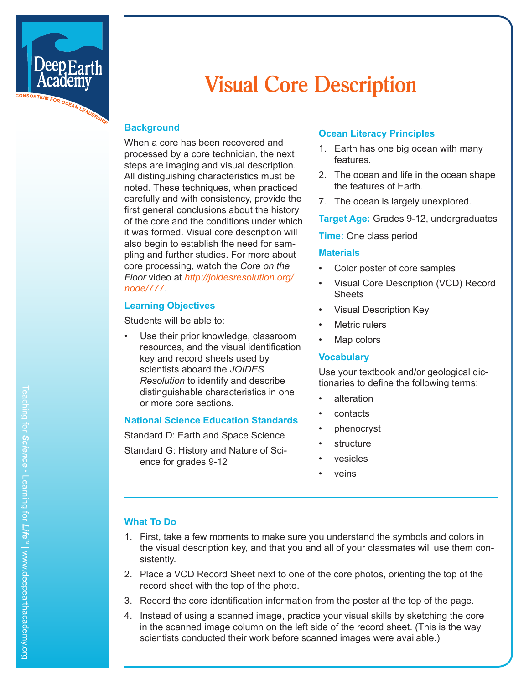

# **Visual Core Description**

## **Background**

When a core has been recovered and processed by a core technician, the next steps are imaging and visual description. All distinguishing characteristics must be noted. These techniques, when practiced carefully and with consistency, provide the first general conclusions about the history of the core and the conditions under which it was formed. Visual core description will also begin to establish the need for sam pling and further studies. For more about core processing, watch the *Core on the Floor* video at *[http://joidesresolution.org/](http://joidesresolution.org/node/777) [node/77](http://joidesresolution.org/node/777) 7* .

#### **Learning Objectives**

Students will be able to:

Use their prior knowledge, classroom resources, and the visual identification key and record sheets used by scientists aboard the *JOIDES Resolution* to identify and describe distinguishable characteristics in one or more core sections.

#### **National Science Education Standards**

Standard D: Earth and Space Science

Standard G: History and Nature of Sci ence for grades 9-12

## **Ocean Literacy Principles**

- 1. Earth has one big ocean with many features.
- 2. The ocean and life in the ocean shape the features of Earth.
- 7. The ocean is largely unexplored.

**Target Age:** Grades 9-12, undergraduates

#### **Time:** One class period

#### **Materials**

- Color poster of core samples
- Visual Core Description (VCD) Record **Sheets**
- Visual Description Key
- Metric rulers
- Map colors

#### **Vocabulary**

Use your textbook and/or geological dic tionaries to define the following terms:

- 
- 
- alteration<br>• contacts<br>• phenocryst<br>• vesicles<br>• veins
- 
- 
- 

## **What To Do**

- 1. First, take a few moments to make sure you understand the symbols and colors in the visual description key, and that you and all of your classmates will use them con sistently.
- 2. Place a VCD Record Sheet next to one of the core photos, orienting the top of the record sheet with the top of the photo.
- 3. Record the core identification information from the poster at the top of the page.
- 4. Instead of using a scanned image, practice your visual skills by sketching the core in the scanned image column on the left side of the record sheet. (This is the way scientists conducted their work before scanned images were available.)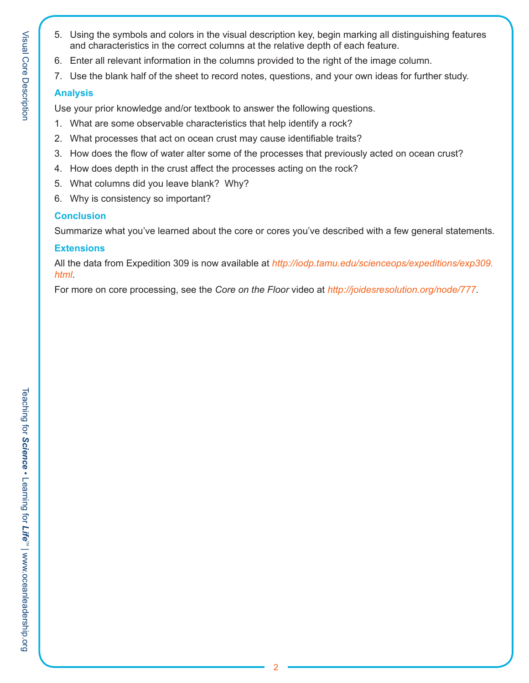- 5. Using the symbols and colors in the visual description key, begin marking all distinguishing features and characteristics in the correct columns at the relative depth of each feature.
- 6. Enter all relevant information in the columns provided to the right of the image column.
- 7. Use the blank half of the sheet to record notes, questions, and your own ideas for further study.

# **Analysis**

Use your prior knowledge and/or textbook to answer the following questions.

- 1. What are some observable characteristics that help identify a rock?
- 2. What processes that act on ocean crust may cause identifiable traits?
- 3. How does the flow of water alter some of the processes that previously acted on ocean crust?
- 4. How does depth in the crust affect the processes acting on the rock?
- 5. What columns did you leave blank? Why?
- 6. Why is consistency so important?

# **Conclusion**

Summarize what you've learned about the core or cores you've described with a few general statements.

## **Extensions**

All the data from Expedition 309 is now available at *[http://iodp.tamu.edu/scienceops/expeditions/exp309.](http://iodp.tamu.edu/scienceops/expeditions/exp309.html) [html](http://iodp.tamu.edu/scienceops/expeditions/exp309.html)*.

For more on core processing, see the *Core on the Floor* video at *http://joidesresolution.org/node/777*.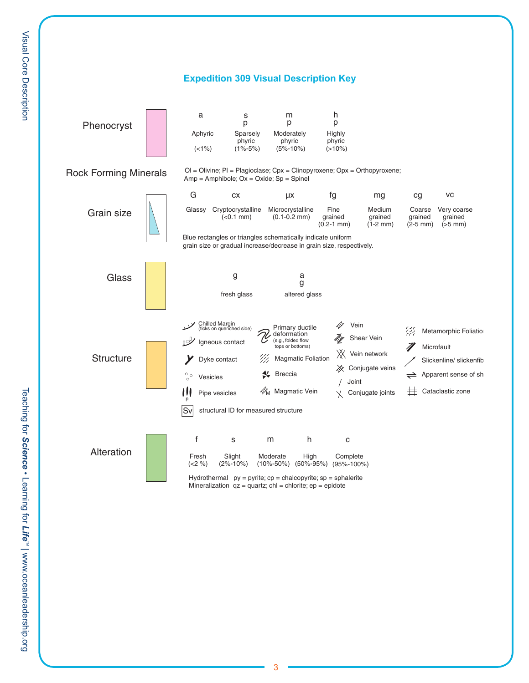

Hydrothermal  $py = pyrite$ ;  $cp = chalcopyrite$ ;  $sp = sphalerite$ Mineralization  $qz = quartz$ ; chl = chlorite; ep = epidote